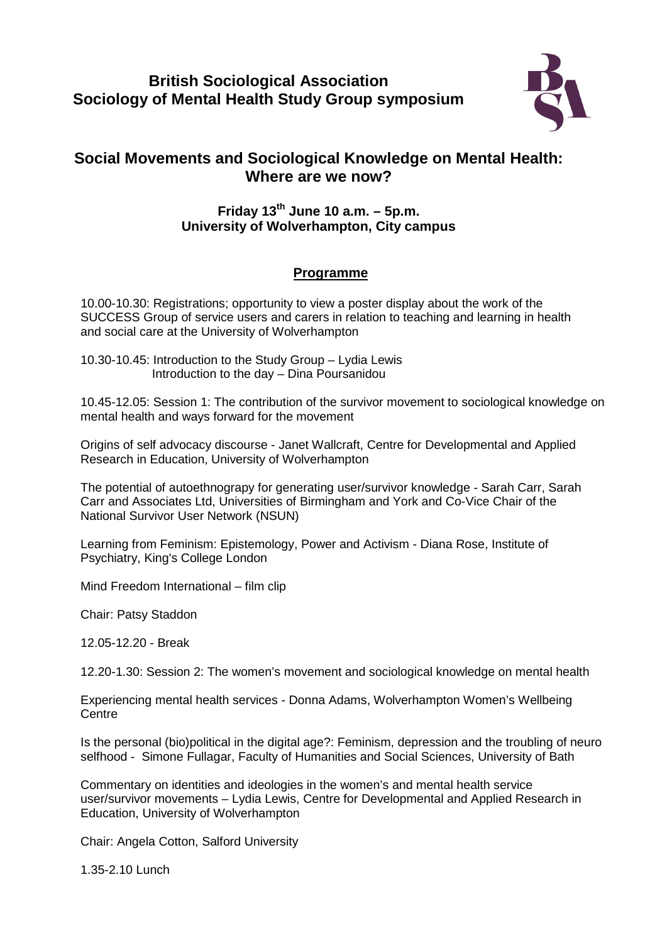## **British Sociological Association Sociology of Mental Health Study Group symposium**



## **Social Movements and Sociological Knowledge on Mental Health: Where are we now?**

## **Friday 13th June 10 a.m. – 5p.m. University of Wolverhampton, City campus**

## **Programme**

10.00-10.30: Registrations; opportunity to view a poster display about the work of the SUCCESS Group of service users and carers in relation to teaching and learning in health and social care at the University of Wolverhampton

10.30-10.45: Introduction to the Study Group – Lydia Lewis Introduction to the day – Dina Poursanidou

10.45-12.05: Session 1: The contribution of the survivor movement to sociological knowledge on mental health and ways forward for the movement

Origins of self advocacy discourse - Janet Wallcraft, Centre for Developmental and Applied Research in Education, University of Wolverhampton

The potential of autoethnograpy for generating user/survivor knowledge - Sarah Carr, Sarah Carr and Associates Ltd, Universities of Birmingham and York and Co-Vice Chair of the National Survivor User Network (NSUN)

Learning from Feminism: Epistemology, Power and Activism - Diana Rose, Institute of Psychiatry, King's College London

Mind Freedom International – film clip

Chair: Patsy Staddon

12.05-12.20 - Break

12.20-1.30: Session 2: The women's movement and sociological knowledge on mental health

Experiencing mental health services - Donna Adams, Wolverhampton Women's Wellbeing **Centre** 

Is the personal (bio)political in the digital age?: Feminism, depression and the troubling of neuro selfhood - Simone Fullagar, Faculty of Humanities and Social Sciences, University of Bath

Commentary on identities and ideologies in the women's and mental health service user/survivor movements – Lydia Lewis, Centre for Developmental and Applied Research in Education, University of Wolverhampton

Chair: Angela Cotton, Salford University

1.35-2.10 Lunch